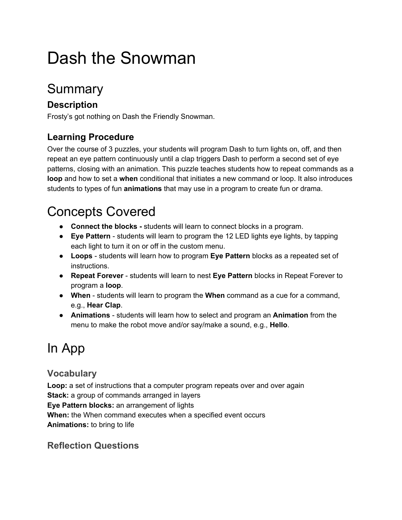# Dash the Snowman

## Summary

### **Description**

Frosty's got nothing on Dash the Friendly Snowman.

### **Learning Procedure**

Over the course of 3 puzzles, your students will program Dash to turn lights on, off, and then repeat an eye pattern continuously until a clap triggers Dash to perform a second set of eye patterns, closing with an animation. This puzzle teaches students how to repeat commands as a **loop** and how to set a **when** conditional that initiates a new command or loop. It also introduces students to types of fun **animations** that may use in a program to create fun or drama.

## Concepts Covered

- Connect the blocks students will learn to connect blocks in a program.
- **Eye Pattern** students will learn to program the 12 LED lights eye lights, by tapping each light to turn it on or off in the custom menu.
- **Loops** students will learn how to program Eye Pattern blocks as a repeated set of instructions.
- **Repeat Forever** students will learn to nest Eye Pattern blocks in Repeat Forever to program a **loop**.
- **When**  students will learn to program the **When** command as a cue for a command, e.g., **Hear Clap**.
- **Animations** students will learn how to select and program an **Animation** from the menu to make the robot move and/or say/make a sound, e.g., **Hello**.

## In App

### **Vocabulary**

**Loop:** a set of instructions that a computer program repeats over and over again **Stack:** a group of commands arranged in layers **Eye Pattern blocks:** an arrangement of lights **When:** the When command executes when a specified event occurs **Animations:** to bring to life

### **Reflection Questions**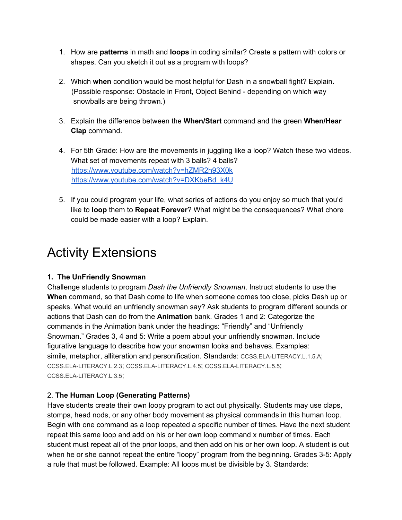- 1. How are **patterns** in math and **loops** in coding similar? Create a pattern with colors or shapes. Can you sketch it out as a program with loops?
- 2. Which **when** condition would be most helpful for Dash in a snowball fight? Explain. (Possible response: Obstacle in Front, Object Behind depending on which way snowballs are being thrown.)
- 3. Explain the difference between the **When/Start** command and the green **When/Hear Clap** command.
- 4. For 5th Grade: How are the movements in juggling like a loop? Watch these two videos. What set of movements repeat with 3 balls? 4 balls? <https://www.youtube.com/watch?v=hZMR2h93X0k> https://www.youtube.com/watch?v=DXKbeBd\_k4U
- 5. If you could program your life, what series of actions do you enjoy so much that you'd like to **loop** them to **Repeat Forever**? What might be the consequences? What chore could be made easier with a loop? Explain.

## Activity Extensions

#### **1. The UnFriendly Snowman**

Challenge students to program *Dash the Unfriendly Snowman*. Instruct students to use the **When** command, so that Dash come to life when someone comes too close, picks Dash up or speaks. What would an unfriendly snowman say? Ask students to program different sounds or actions that Dash can do from the **Animation** bank. Grades 1 and 2: Categorize the commands in the Animation bank under the headings: "Friendly" and "Unfriendly Snowman." Grades 3, 4 and 5: Write a poem about your unfriendly snowman. Include figurative language to describe how your snowman looks and behaves. Examples: simile, metaphor, alliteration and personification. Standards: CCSS.ELA-LITERACY.L.1.5.A; [CCSS.ELALITERACY.L.2.3](http://www.corestandards.org/ELA-Literacy/L/2/3/); [CCSS.ELALITERACY.L.4.5](http://www.corestandards.org/ELA-Literacy/L/4/5/); [CCSS.ELALITERACY.L.5.5](http://www.corestandards.org/ELA-Literacy/L/5/5/); CCSS.ELA-LITERACY.L.3.5;

#### 2. **The Human Loop (Generating Patterns)**

Have students create their own loopy program to act out physically. Students may use claps, stomps, head nods, or any other body movement as physical commands in this human loop. Begin with one command as a loop repeated a specific number of times. Have the next student repeat this same loop and add on his or her own loop command x number of times. Each student must repeat all of the prior loops, and then add on his or her own loop. A student is out when he or she cannot repeat the entire "loopy" program from the beginning. Grades 3-5: Apply a rule that must be followed. Example: All loops must be divisible by 3. Standards: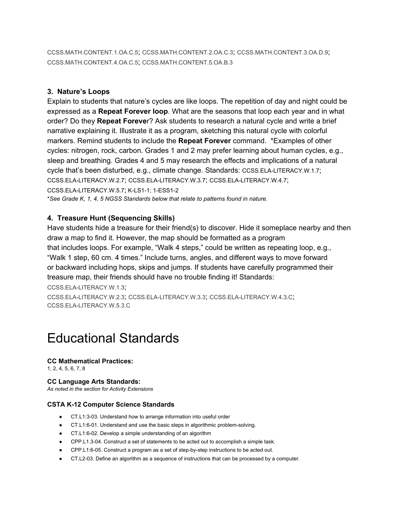[CCSS.MATH.CONTENT.1.OA.C.5](http://www.corestandards.org/Math/Content/1/OA/C/5/); [CCSS.MATH.CONTENT.2.OA.C.3](http://www.corestandards.org/Math/Content/2/OA/C/3/); [CCSS.MATH.CONTENT.3.OA.D.9](http://www.corestandards.org/Math/Content/3/OA/D/9/); [CCSS.MATH.CONTENT.4.OA.C.5](http://www.corestandards.org/Math/Content/4/OA/C/5/); [CCSS.MATH.CONTENT.5.OA.B.3](http://www.corestandards.org/Math/Content/5/OA/B/3/)

#### **3. Nature's Loops**

Explain to students that nature's cycles are like loops. The repetition of day and night could be expressed as a **Repeat Forever loop**. What are the seasons that loop each year and in what order? Do they **Repeat Foreve**r? Ask students to research a natural cycle and write a brief narrative explaining it. Illustrate it as a program, sketching this natural cycle with colorful markers. Remind students to include the **Repeat Forever** command. \*Examples of other cycles: nitrogen, rock, carbon. Grades 1 and 2 may prefer learning about human cycles, e.g., sleep and breathing. Grades 4 and 5 may research the effects and implications of a natural cycle that's been disturbed, e.g., climate change. Standards: [CCSS.ELALITERACY.W.1.7](http://www.corestandards.org/ELA-Literacy/W/5/7/); [CCSS.ELALITERACY.W.2.7](http://www.corestandards.org/ELA-Literacy/W/5/7/)[;](http://www.corestandards.org/ELA-Literacy/W/5/7/) [CCSS.ELALITERACY.W.3.7](http://www.corestandards.org/ELA-Literacy/W/5/7/); [CCSS.ELALITERACY.W.4.7](http://www.corestandards.org/ELA-Literacy/W/5/7/); CCSS.ELA-LITERACY.W.5.7; K-LS1-1; 1-ESS1-2 \**See Grade K, 1, 4, 5 NGSS Standards below that relate to patterns found in nature.*

#### **4. Treasure Hunt (Sequencing Skills)**

Have students hide a treasure for their friend(s) to discover. Hide it someplace nearby and then draw a map to find it. However, the map should be formatted as a program that includes loops. For example, "Walk 4 steps," could be written as repeating loop, e.g., "Walk 1 step, 60 cm. 4 times." Include turns, angles, and different ways to move forward or backward including hops, skips and jumps. If students have carefully programmed their treasure map, their friends should have no trouble finding it! Standards:

CCSS.ELA-LITERACY.W.1.3;

[CCSS.ELALITERACY.W.2.3](http://www.corestandards.org/ELA-Literacy/W/2/3/); [CCSS.ELALITERACY.W.3.3](http://www.corestandards.org/ELA-Literacy/W/3/3/); [CCSS.ELALITERACY.W.4.3.C](http://www.corestandards.org/ELA-Literacy/W/4/3/c/); [CCSS.ELALITERACY.W.5.3.C](http://www.corestandards.org/ELA-Literacy/W/5/3/c/)

## Educational Standards

### **CC Mathematical Practices:**

1, 2, 4, 5, 6, 7, 8

#### **CC Language Arts Standards:**

*As noted in the section for Activity Extension[s](http://www.corestandards.org/ELA-Literacy/L/1/5/c/)*

#### **CSTA K12 Computer Science Standards**

- CT.L1:303. Understand how to arrange information into useful order
- CT.L1:6-01. Understand and use the basic steps in algorithmic problem-solving.
- CT.L1:6-02. Develop a simple understanding of an algorithm
- CPP.L1.3-04. Construct a set of statements to be acted out to accomplish a simple task.
- CPP.L1:6-05. Construct a program as a set of step-by-step instructions to be acted out.
- CT.L203. Define an algorithm as a sequence of instructions that can be processed by a computer.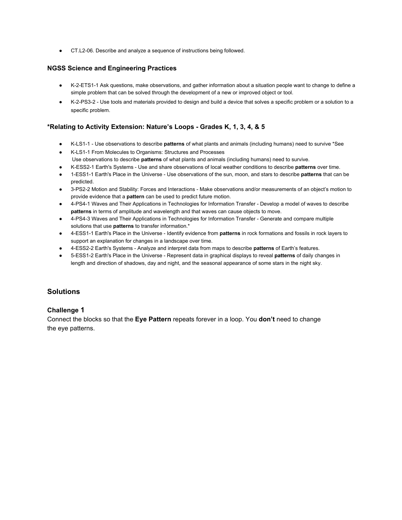● CT.L206. Describe and analyze a sequence of instructions being followed.

#### **NGSS Science and Engineering Practices**

- [K2ETS11 Ask questions,](http://www.nextgenscience.org/pe/k-2-ets1-1-engineering-design) make observations, and gather information about a situation people want to change to define a simple problem that can be solved through the development of a new or improved object or tool.
- K-2-PS3-2 Use tools and materials provided to design and build a device that solves a specific problem or a solution to a specific problem.

#### **\*Relating to Activity Extension: Nature's Loops Grades K, 1, 3, 4, & 5**

- KLS11 Use observations to describe **patterns** of what plants and animals (including humans) need to survive \*See
- KLS11 From Molecules to Organisms: Structures and Processes Use observations to describe **patterns** of what plants and animals (including humans) need to survive.
- KESS21 Earth's Systems Use and share observations of local weather conditions to describe **patterns** over time.
- 1ESS11 Earth's Place in the Universe Use observations of the sun, moon, and stars to describe **patterns** that can be predicted.
- 3-PS2-2 Motion and Stability: Forces and Interactions Make observations and/or measurements of an object's motion to provide evidence that a **pattern** can be used to predict future motion.
- 4-PS4-1 Waves and Their Applications in Technologies for Information Transfer Develop a model of waves to describe **patterns** in terms of amplitude and wavelength and that waves can cause objects to move.
- 4-PS4-3 Waves and Their Applications in Technologies for Information Transfer Generate and compare multiple solutions that use **patterns** to transfer information.\*
- 4ESS11 Earth's Place in the Universe Identify evidence from **patterns** in rock formations and fossils in rock layers to support an explanation for changes in a landscape over time.
- 4ESS22 Earth's Systems Analyze and interpret data from maps to describe **patterns** of Earth's features.
- 5ESS12 Earth's Place in the Universe Represent data in graphical displays to reveal **patterns** of daily changes in length and direction of shadows, day and night, and the seasonal appearance of some stars in the night sky.

#### **Solutions**

#### **Challenge 1**

Connect the blocks so that the **Eye Pattern** repeats forever in a loop. You **don't** need to change the eye patterns.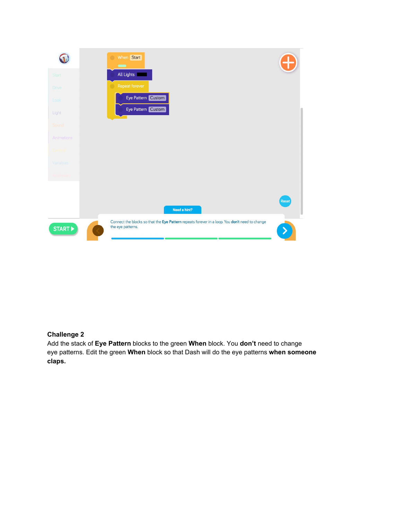

#### **Challenge 2**

Add the stack of **Eye Pattern** blocks to the green **When** block. You **don't** need to change eye patterns. Edit the green **When** block so that Dash will do the eye patterns **when someone claps.**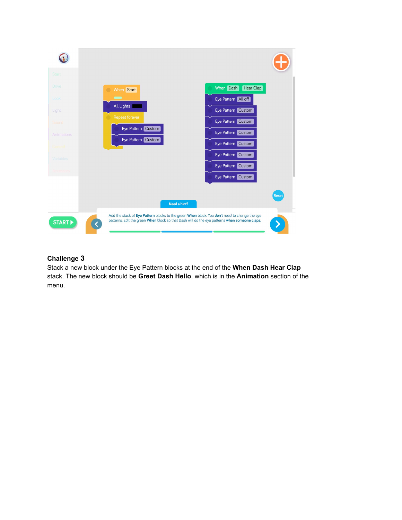

#### **Challenge 3**

Stack a new block under the Eye Pattern blocks at the end of the **When Dash Hear Clap** stack. The new block should be **Greet Dash Hello**, which is in the **Animation** section of the menu.